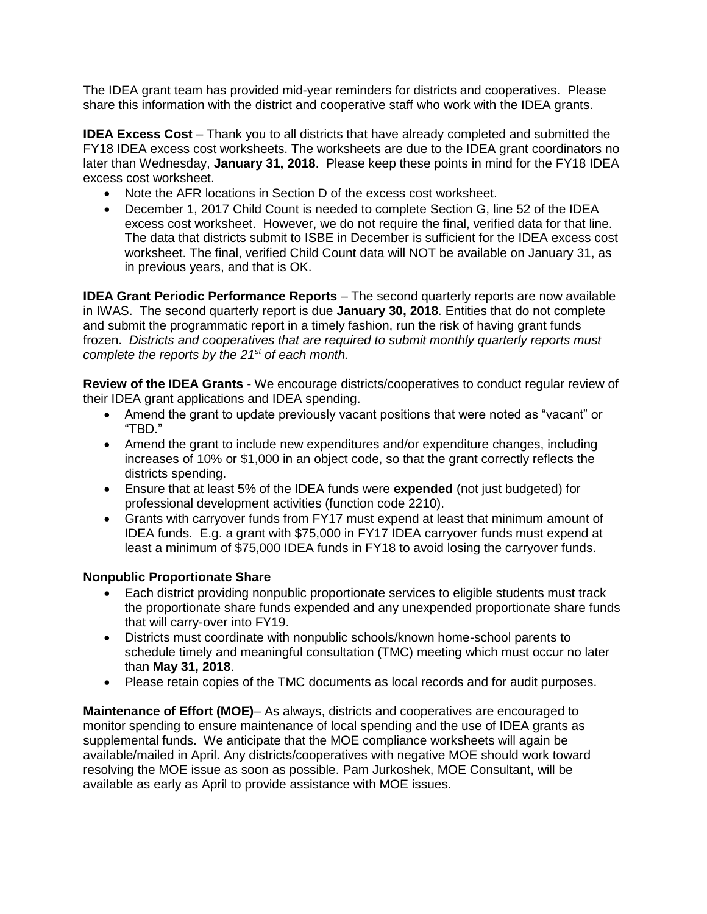The IDEA grant team has provided mid-year reminders for districts and cooperatives. Please share this information with the district and cooperative staff who work with the IDEA grants.

**IDEA Excess Cost** – Thank you to all districts that have already completed and submitted the FY18 IDEA excess cost worksheets. The worksheets are due to the IDEA grant coordinators no later than Wednesday, **January 31, 2018**. Please keep these points in mind for the FY18 IDEA excess cost worksheet.

- Note the AFR locations in Section D of the excess cost worksheet.
- December 1, 2017 Child Count is needed to complete Section G, line 52 of the IDEA excess cost worksheet. However, we do not require the final, verified data for that line. The data that districts submit to ISBE in December is sufficient for the IDEA excess cost worksheet. The final, verified Child Count data will NOT be available on January 31, as in previous years, and that is OK.

**IDEA Grant Periodic Performance Reports** – The second quarterly reports are now available in IWAS. The second quarterly report is due **January 30, 2018**. Entities that do not complete and submit the programmatic report in a timely fashion, run the risk of having grant funds frozen. *Districts and cooperatives that are required to submit monthly quarterly reports must complete the reports by the 21st of each month.*

**Review of the IDEA Grants** - We encourage districts/cooperatives to conduct regular review of their IDEA grant applications and IDEA spending.

- Amend the grant to update previously vacant positions that were noted as "vacant" or "TBD."
- Amend the grant to include new expenditures and/or expenditure changes, including increases of 10% or \$1,000 in an object code, so that the grant correctly reflects the districts spending.
- Ensure that at least 5% of the IDEA funds were **expended** (not just budgeted) for professional development activities (function code 2210).
- Grants with carryover funds from FY17 must expend at least that minimum amount of IDEA funds. E.g. a grant with \$75,000 in FY17 IDEA carryover funds must expend at least a minimum of \$75,000 IDEA funds in FY18 to avoid losing the carryover funds.

## **Nonpublic Proportionate Share**

- Each district providing nonpublic proportionate services to eligible students must track the proportionate share funds expended and any unexpended proportionate share funds that will carry-over into FY19.
- Districts must coordinate with nonpublic schools/known home-school parents to schedule timely and meaningful consultation (TMC) meeting which must occur no later than **May 31, 2018**.
- Please retain copies of the TMC documents as local records and for audit purposes.

**Maintenance of Effort (MOE)**– As always, districts and cooperatives are encouraged to monitor spending to ensure maintenance of local spending and the use of IDEA grants as supplemental funds. We anticipate that the MOE compliance worksheets will again be available/mailed in April. Any districts/cooperatives with negative MOE should work toward resolving the MOE issue as soon as possible. Pam Jurkoshek, MOE Consultant, will be available as early as April to provide assistance with MOE issues.